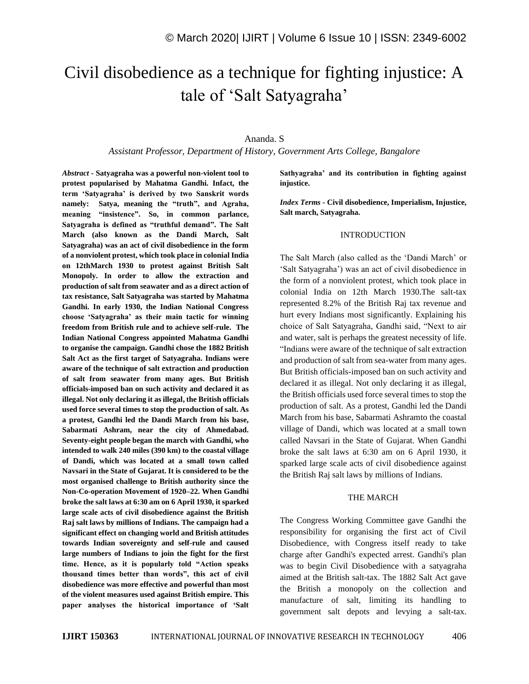# Civil disobedience as a technique for fighting injustice: A tale of 'Salt Satyagraha'

# Ananda. S

*Assistant Professor, Department of History, Government Arts College, Bangalore*

*Abstract -* **Satyagraha was a powerful non-violent tool to protest popularised by Mahatma Gandhi. Infact, the term 'Satyagraha' is derived by two Sanskrit words namely: Satya, meaning the "truth", and Agraha, meaning "insistence". So, in common parlance, Satyagraha is defined as "truthful demand". The Salt March (also known as the Dandi March, Salt Satyagraha) was an act of civil disobedience in the form of a nonviolent protest, which took place in colonial India on 12thMarch 1930 to protest against British Salt Monopoly. In order to allow the extraction and production of salt from seawater and as a direct action of tax resistance, Salt Satyagraha was started by Mahatma Gandhi. In early 1930, the Indian National Congress choose 'Satyagraha' as their main tactic for winning freedom from British rule and to achieve self-rule. The Indian National Congress appointed Mahatma Gandhi to organise the campaign. Gandhi chose the 1882 British Salt Act as the first target of Satyagraha. Indians were aware of the technique of salt extraction and production of salt from seawater from many ages. But British officials-imposed ban on such activity and declared it as illegal. Not only declaring it as illegal, the British officials used force several times to stop the production of salt. As a protest, Gandhi led the Dandi March from his base, Sabarmati Ashram, near the city of Ahmedabad. Seventy-eight people began the march with Gandhi, who intended to walk 240 miles (390 km) to the coastal village of Dandi, which was located at a small town called Navsari in the State of Gujarat. It is considered to be the most organised challenge to British authority since the Non-Co-operation Movement of 1920–22. When Gandhi broke the salt laws at 6:30 am on 6 April 1930, it sparked large scale acts of civil disobedience against the British Raj salt laws by millions of Indians. The campaign had a significant effect on changing world and British attitudes towards Indian sovereignty and self-rule and caused large numbers of Indians to join the fight for the first time. Hence, as it is popularly told "Action speaks thousand times better than words", this act of civil disobedience was more effective and powerful than most of the violent measures used against British empire. This paper analyses the historical importance of 'Salt**  **Sathyagraha' and its contribution in fighting against injustice.** 

*Index Terms -* **Civil disobedience, Imperialism, Injustice, Salt march, Satyagraha.**

#### INTRODUCTION

The Salt March (also called as the 'Dandi March' or 'Salt Satyagraha') was an act of civil disobedience in the form of a nonviolent protest, which took place in colonial India on 12th March 1930.The salt-tax represented 8.2% of the British Raj tax revenue and hurt every Indians most significantly. Explaining his choice of Salt Satyagraha, Gandhi said, "Next to air and water, salt is perhaps the greatest necessity of life. "Indians were aware of the technique of salt extraction and production of salt from sea-water from many ages. But British officials-imposed ban on such activity and declared it as illegal. Not only declaring it as illegal, the British officials used force several times to stop the production of salt. As a protest, Gandhi led the Dandi March from his base, Sabarmati Ashramto the coastal village of Dandi, which was located at a small town called Navsari in the State of Gujarat. When Gandhi broke the salt laws at 6:30 am on 6 April 1930, it sparked large scale acts of civil disobedience against the British Raj salt laws by millions of Indians.

#### THE MARCH

The Congress Working Committee gave Gandhi the responsibility for organising the first act of Civil Disobedience, with Congress itself ready to take charge after Gandhi's expected arrest. Gandhi's plan was to begin Civil Disobedience with a satyagraha aimed at the British salt-tax. The 1882 Salt Act gave the British a monopoly on the collection and manufacture of salt, limiting its handling to government salt depots and levying a salt-tax.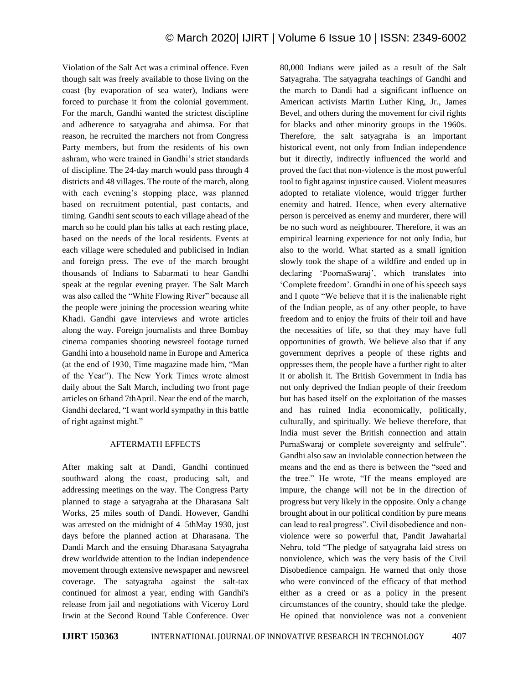Violation of the Salt Act was a criminal offence. Even though salt was freely available to those living on the coast (by evaporation of sea water), Indians were forced to purchase it from the colonial government. For the march, Gandhi wanted the strictest discipline and adherence to satyagraha and ahimsa. For that reason, he recruited the marchers not from Congress Party members, but from the residents of his own ashram, who were trained in Gandhi's strict standards of discipline. The 24-day march would pass through 4 districts and 48 villages. The route of the march, along with each evening's stopping place, was planned based on recruitment potential, past contacts, and timing. Gandhi sent scouts to each village ahead of the march so he could plan his talks at each resting place, based on the needs of the local residents. Events at each village were scheduled and publicised in Indian and foreign press. The eve of the march brought thousands of Indians to Sabarmati to hear Gandhi speak at the regular evening prayer. The Salt March was also called the "White Flowing River" because all the people were joining the procession wearing white Khadi. Gandhi gave interviews and wrote articles along the way. Foreign journalists and three Bombay cinema companies shooting newsreel footage turned Gandhi into a household name in Europe and America (at the end of 1930, Time magazine made him, "Man of the Year"). The New York Times wrote almost daily about the Salt March, including two front page articles on 6thand 7thApril. Near the end of the march, Gandhi declared, "I want world sympathy in this battle of right against might."

## AFTERMATH EFFECTS

After making salt at Dandi, Gandhi continued southward along the coast, producing salt, and addressing meetings on the way. The Congress Party planned to stage a satyagraha at the Dharasana Salt Works, 25 miles south of Dandi. However, Gandhi was arrested on the midnight of 4–5thMay 1930, just days before the planned action at Dharasana. The Dandi March and the ensuing Dharasana Satyagraha drew worldwide attention to the Indian independence movement through extensive newspaper and newsreel coverage. The satyagraha against the salt-tax continued for almost a year, ending with Gandhi's release from jail and negotiations with Viceroy Lord Irwin at the Second Round Table Conference. Over 80,000 Indians were jailed as a result of the Salt Satyagraha. The satyagraha teachings of Gandhi and the march to Dandi had a significant influence on American activists Martin Luther King, Jr., James Bevel, and others during the movement for civil rights for blacks and other minority groups in the 1960s. Therefore, the salt satyagraha is an important historical event, not only from Indian independence but it directly, indirectly influenced the world and proved the fact that non-violence is the most powerful tool to fight against injustice caused. Violent measures adopted to retaliate violence, would trigger further enemity and hatred. Hence, when every alternative person is perceived as enemy and murderer, there will be no such word as neighbourer. Therefore, it was an empirical learning experience for not only India, but also to the world. What started as a small ignition slowly took the shape of a wildfire and ended up in declaring 'PoornaSwaraj', which translates into 'Complete freedom'. Grandhi in one of his speech says and I quote "We believe that it is the inalienable right of the Indian people, as of any other people, to have freedom and to enjoy the fruits of their toil and have the necessities of life, so that they may have full opportunities of growth. We believe also that if any government deprives a people of these rights and oppresses them, the people have a further right to alter it or abolish it. The British Government in India has not only deprived the Indian people of their freedom but has based itself on the exploitation of the masses and has ruined India economically, politically, culturally, and spiritually. We believe therefore, that India must sever the British connection and attain PurnaSwaraj or complete sovereignty and selfrule". Gandhi also saw an inviolable connection between the means and the end as there is between the "seed and the tree." He wrote, "If the means employed are impure, the change will not be in the direction of progress but very likely in the opposite. Only a change brought about in our political condition by pure means can lead to real progress". Civil disobedience and nonviolence were so powerful that, Pandit Jawaharlal Nehru, told "The pledge of satyagraha laid stress on nonviolence, which was the very basis of the Civil Disobedience campaign. He warned that only those who were convinced of the efficacy of that method either as a creed or as a policy in the present circumstances of the country, should take the pledge. He opined that nonviolence was not a convenient